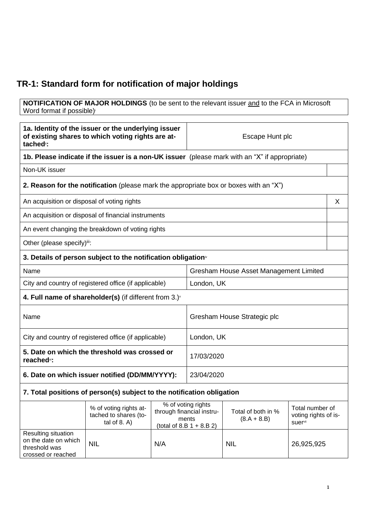## **TR-1: Standard form for notification of major holdings**

**NOTIFICATION OF MAJOR HOLDINGS** (to be sent to the relevant issuer and to the FCA in Microsoft Word format if possible)

| 1a. Identity of the issuer or the underlying issuer<br>of existing shares to which voting rights are at-<br>tached <sup>®</sup> : |                                                                                              | Escape Hunt plc |                                                                                         |                                     |                                                    |   |
|-----------------------------------------------------------------------------------------------------------------------------------|----------------------------------------------------------------------------------------------|-----------------|-----------------------------------------------------------------------------------------|-------------------------------------|----------------------------------------------------|---|
| 1b. Please indicate if the issuer is a non-UK issuer (please mark with an "X" if appropriate)                                     |                                                                                              |                 |                                                                                         |                                     |                                                    |   |
| Non-UK issuer                                                                                                                     |                                                                                              |                 |                                                                                         |                                     |                                                    |   |
|                                                                                                                                   | <b>2. Reason for the notification</b> (please mark the appropriate box or boxes with an "X") |                 |                                                                                         |                                     |                                                    |   |
| An acquisition or disposal of voting rights                                                                                       |                                                                                              |                 |                                                                                         |                                     |                                                    | X |
|                                                                                                                                   | An acquisition or disposal of financial instruments                                          |                 |                                                                                         |                                     |                                                    |   |
|                                                                                                                                   | An event changing the breakdown of voting rights                                             |                 |                                                                                         |                                     |                                                    |   |
| Other (please specify)ii:                                                                                                         |                                                                                              |                 |                                                                                         |                                     |                                                    |   |
|                                                                                                                                   | 3. Details of person subject to the notification obligation <sup>®</sup>                     |                 |                                                                                         |                                     |                                                    |   |
| Name                                                                                                                              |                                                                                              |                 | Gresham House Asset Management Limited                                                  |                                     |                                                    |   |
|                                                                                                                                   | City and country of registered office (if applicable)                                        |                 | London, UK                                                                              |                                     |                                                    |   |
| 4. Full name of shareholder(s) (if different from $3.$ ) $\sqrt{ }$                                                               |                                                                                              |                 |                                                                                         |                                     |                                                    |   |
| Name                                                                                                                              |                                                                                              |                 | Gresham House Strategic plc                                                             |                                     |                                                    |   |
| City and country of registered office (if applicable)                                                                             |                                                                                              |                 | London, UK                                                                              |                                     |                                                    |   |
| 5. Date on which the threshold was crossed or<br>reached <sup>vi</sup> :                                                          |                                                                                              |                 | 17/03/2020                                                                              |                                     |                                                    |   |
| 6. Date on which issuer notified (DD/MM/YYYY):                                                                                    |                                                                                              |                 | 23/04/2020                                                                              |                                     |                                                    |   |
| 7. Total positions of person(s) subject to the notification obligation                                                            |                                                                                              |                 |                                                                                         |                                     |                                                    |   |
|                                                                                                                                   | % of voting rights at-<br>tached to shares (to-<br>tal of $8. A$ )                           |                 | % of voting rights<br>through financial instru-<br>ments<br>(total of 8.B $1 + 8.B 2$ ) | Total of both in %<br>$(8.A + 8.B)$ | Total number of<br>voting rights of is-<br>suervii |   |
| Resulting situation<br>on the date on which<br>threshold was<br>crossed or reached                                                | <b>NIL</b>                                                                                   | N/A             |                                                                                         | <b>NIL</b>                          | 26,925,925                                         |   |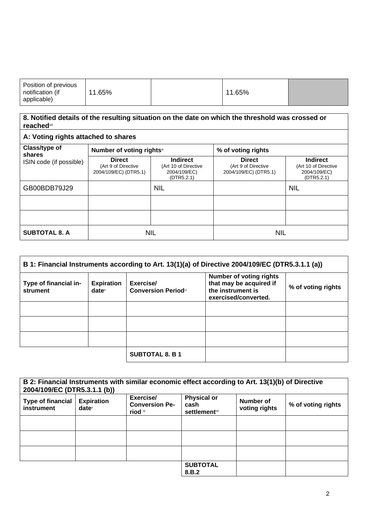| Position of previous<br>notification (if<br>applicable) | 11.65% |  | 11.65% |  |
|---------------------------------------------------------|--------|--|--------|--|
|---------------------------------------------------------|--------|--|--------|--|

## **8. Notified details of the resulting situation on the date on which the threshold was crossed or reached**viii

## **A: Voting rights attached to shares**

| Class/type of<br>shares | Number of voting rightsix                                     |                                                                       | % of voting rights                                            |                                                                       |
|-------------------------|---------------------------------------------------------------|-----------------------------------------------------------------------|---------------------------------------------------------------|-----------------------------------------------------------------------|
| ISIN code (if possible) | <b>Direct</b><br>(Art 9 of Directive<br>2004/109/EC) (DTR5.1) | <b>Indirect</b><br>(Art 10 of Directive<br>2004/109/EC)<br>(DTR5.2.1) | <b>Direct</b><br>(Art 9 of Directive<br>2004/109/EC) (DTR5.1) | <b>Indirect</b><br>(Art 10 of Directive<br>2004/109/EC)<br>(DTR5.2.1) |
| GB00BDB79J29            |                                                               | <b>NIL</b>                                                            |                                                               | <b>NIL</b>                                                            |
|                         |                                                               |                                                                       |                                                               |                                                                       |
|                         |                                                               |                                                                       |                                                               |                                                                       |
| <b>SUBTOTAL 8. A</b>    | <b>NIL</b>                                                    |                                                                       | <b>NIL</b>                                                    |                                                                       |

| B 1: Financial Instruments according to Art. 13(1)(a) of Directive 2004/109/EC (DTR5.3.1.1 (a)) |                                                        |                                         |                                                                                                        |                    |
|-------------------------------------------------------------------------------------------------|--------------------------------------------------------|-----------------------------------------|--------------------------------------------------------------------------------------------------------|--------------------|
| Type of financial in-<br>strument                                                               | <b>Expiration</b><br>$date^{\scriptscriptstyle\times}$ | Exercise/<br><b>Conversion Periodxi</b> | <b>Number of voting rights</b><br>that may be acquired if<br>the instrument is<br>exercised/converted. | % of voting rights |
|                                                                                                 |                                                        |                                         |                                                                                                        |                    |
|                                                                                                 |                                                        |                                         |                                                                                                        |                    |
|                                                                                                 |                                                        |                                         |                                                                                                        |                    |
|                                                                                                 |                                                        | <b>SUBTOTAL 8. B 1</b>                  |                                                                                                        |                    |

| B 2: Financial Instruments with similar economic effect according to Art. 13(1)(b) of Directive<br>2004/109/EC (DTR5.3.1.1 (b)) |                               |                                               |                                                     |                            |                    |
|---------------------------------------------------------------------------------------------------------------------------------|-------------------------------|-----------------------------------------------|-----------------------------------------------------|----------------------------|--------------------|
| <b>Type of financial</b><br>instrument                                                                                          | <b>Expiration</b><br>$date^x$ | Exercise/<br><b>Conversion Pe-</b><br>riod xi | <b>Physical or</b><br>cash<br><b>settlement</b> xii | Number of<br>voting rights | % of voting rights |
|                                                                                                                                 |                               |                                               |                                                     |                            |                    |
|                                                                                                                                 |                               |                                               |                                                     |                            |                    |
|                                                                                                                                 |                               |                                               |                                                     |                            |                    |
|                                                                                                                                 |                               |                                               | <b>SUBTOTAL</b><br>8.B.2                            |                            |                    |